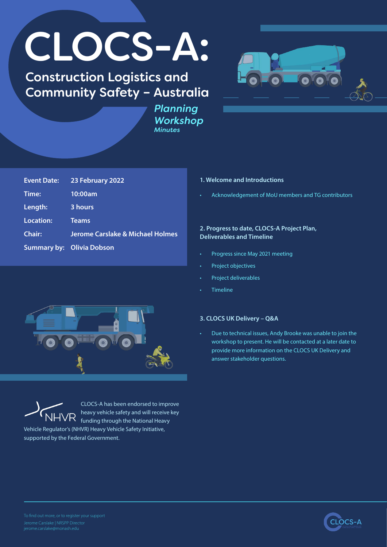# CLOCS-A:

# Construction Logistics and Community Safety – Australia



*Planning Workshop Minutes*

| <b>Event Date:</b>               | 23 February 2022                 |
|----------------------------------|----------------------------------|
| Time:                            | 10:00am                          |
| Length:                          | 3 hours                          |
| Location:                        | <b>Teams</b>                     |
| <b>Chair:</b>                    | Jerome Carslake & Michael Holmes |
| <b>Summary by: Olivia Dobson</b> |                                  |

#### **1. Welcome and Introductions**

• Acknowledgement of MoU members and TG contributors

#### **2. Progress to date, CLOCS-A Project Plan, Deliverables and Timeline**

- Progress since May 2021 meeting
- Project objectives
- Project deliverables
- **Timeline**





CLOCS-A has been endorsed to improve heavy vehicle safety and will receive key funding through the National Heavy

Vehicle Regulator's (NHVR) Heavy Vehicle Safety Initiative, supported by the Federal Government.

## **3. CLOCS UK Delivery – Q&A**

• Due to technical issues, Andy Brooke was unable to join the workshop to present. He will be contacted at a later date to provide more information on the CLOCS UK Delivery and answer stakeholder questions.

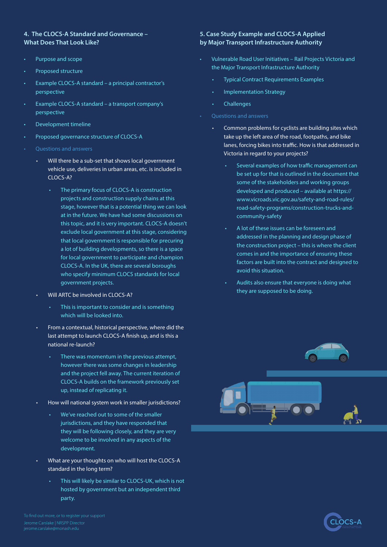#### **4. The CLOCS-A Standard and Governance – What Does That Look Like?**

- Purpose and scope
- Proposed structure
- Example CLOCS-A standard a principal contractor's perspective
- Example CLOCS-A standard a transport company's perspective
- Development timeline
- Proposed governance structure of CLOCS-A
- Questions and answers
	- Will there be a sub-set that shows local government vehicle use, deliveries in urban areas, etc. is included in CLOCS-A?
		- The primary focus of CLOCS-A is construction projects and construction supply chains at this stage, however that is a potential thing we can look at in the future. We have had some discussions on this topic, and it is very important. CLOCS-A doesn't exclude local government at this stage, considering that local government is responsible for precuring a lot of building developments, so there is a space for local government to participate and champion CLOCS-A. In the UK, there are several boroughs who specify minimum CLOCS standards for local government projects.
	- Will ARTC be involved in CLOCS-A?
		- This is important to consider and is something which will be looked into.
	- From a contextual, historical perspective, where did the last attempt to launch CLOCS-A finish up, and is this a national re-launch?
		- There was momentum in the previous attempt, however there was some changes in leadership and the project fell away. The current iteration of CLOCS-A builds on the framework previously set up, instead of replicating it.
	- How will national system work in smaller jurisdictions?
		- We've reached out to some of the smaller jurisdictions, and they have responded that they will be following closely, and they are very welcome to be involved in any aspects of the development.
	- What are your thoughts on who will host the CLOCS-A standard in the long term?
		- This will likely be similar to CLOCS-UK, which is not hosted by government but an independent third party.

### **5. Case Study Example and CLOCS-A Applied by Major Transport Infrastructure Authority**

- Vulnerable Road User Initiatives Rail Projects Victoria and the Major Transport Infrastructure Authority
	- Typical Contract Requirements Examples
	- Implementation Strategy
	- **Challenges**
- Questions and answers
	- Common problems for cyclists are building sites which take up the left area of the road, footpaths, and bike lanes, forcing bikes into traffic. How is that addressed in Victoria in regard to your projects?
		- Several examples of how traffic management can be set up for that is outlined in the document that some of the stakeholders and working groups developed and produced – available at [https://](https://www.vicroads.vic.gov.au/safety-and-road-rules/road-safety-programs/construction-trucks-and-community-safety) [www.vicroads.vic.gov.au/safety-and-road-rules/](https://www.vicroads.vic.gov.au/safety-and-road-rules/road-safety-programs/construction-trucks-and-community-safety) [road-safety-programs/construction-trucks-and](https://www.vicroads.vic.gov.au/safety-and-road-rules/road-safety-programs/construction-trucks-and-community-safety)[community-safety](https://www.vicroads.vic.gov.au/safety-and-road-rules/road-safety-programs/construction-trucks-and-community-safety)
		- A lot of these issues can be foreseen and addressed in the planning and design phase of the construction project – this is where the client comes in and the importance of ensuring these factors are built into the contract and designed to avoid this situation.
		- Audits also ensure that everyone is doing what they are supposed to be doing.



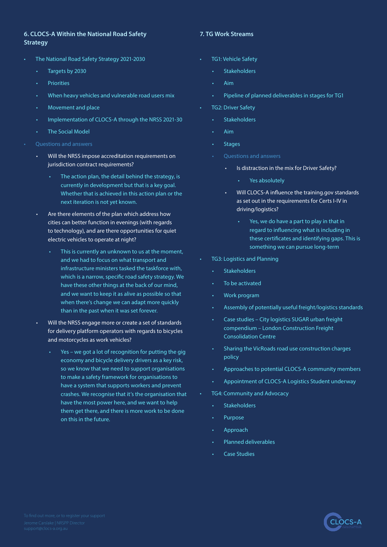### **6. CLOCS-A Within the National Road Safety Strategy**

- The National Road Safety Strategy 2021-2030
	- Targets by 2030
	- Priorities
	- When heavy vehicles and vulnerable road users mix
	- Movement and place
	- Implementation of CLOCS-A through the NRSS 2021-30
	- The Social Model
- Questions and answers
	- Will the NRSS impose accreditation requirements on jurisdiction contract requirements?
		- The action plan, the detail behind the strategy, is currently in development but that is a key goal. Whether that is achieved in this action plan or the next iteration is not yet known.
	- Are there elements of the plan which address how cities can better function in evenings (with regards to technology), and are there opportunities for quiet electric vehicles to operate at night?
		- This is currently an unknown to us at the moment, and we had to focus on what transport and infrastructure ministers tasked the taskforce with, which is a narrow, specific road safety strategy. We have these other things at the back of our mind, and we want to keep it as alive as possible so that when there's change we can adapt more quickly than in the past when it was set forever.
	- Will the NRSS engage more or create a set of standards for delivery platform operators with regards to bicycles and motorcycles as work vehicles?
		- Yes we got a lot of recognition for putting the gig economy and bicycle delivery drivers as a key risk, so we know that we need to support organisations to make a safety framework for organisations to have a system that supports workers and prevent crashes. We recognise that it's the organisation that have the most power here, and we want to help them get there, and there is more work to be done on this in the future.

### **7. TG Work Streams**

- TG1: Vehicle Safety
	- **Stakeholders**
	- Aim
	- Pipeline of planned deliverables in stages for TG1
- TG2: Driver Safety
	- Stakeholders
	- Aim
	- **Stages**
	- Questions and answers
		- Is distraction in the mix for Driver Safety?
			- Yes absolutely
		- Will CLOCS-A influence the training.gov standards as set out in the requirements for Certs I-IV in driving/logistics?
			- Yes, we do have a part to play in that in regard to influencing what is including in these certificates and identifying gaps. This is something we can pursue long-term
- TG3: Logistics and Planning
	- Stakeholders
	- To be activated
	- Work program
	- Assembly of potentially useful freight/logistics standards
	- Case studies City logistics SUGAR urban freight compendium – London Construction Freight Consolidation Centre
	- Sharing the VicRoads road use construction charges policy
	- Approaches to potential CLOCS-A community members
	- Appointment of CLOCS-A Logistics Student underway
- TG4: Community and Advocacy
	- Stakeholders
	- **Purpose**
	- Approach
	- Planned deliverables
	- Case Studies

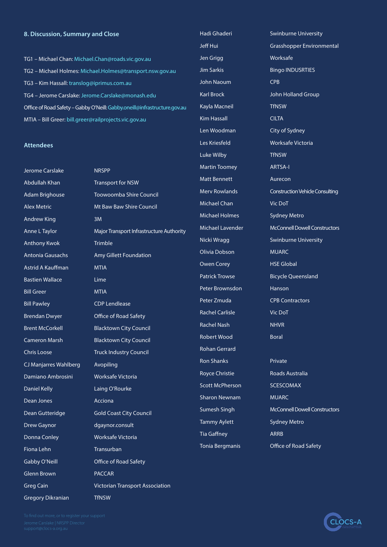#### **8. Discussion, Summary and Close**

TG1 – Michael Chan: Michael.Chan@roads.vic.gov.au TG2 – Michael Holmes: Michael.Holmes@transport.nsw.gov.au TG3 – Kim Hassall: translog@iprimus.com.au TG4 – Jerome Carslake: Jerome.Carslake@monash.edu Office of Road Safety – Gabby O'Neill: Gabby.oneill@infrastructure.gov.au MTIA – Bill Greer: bill.greer@railprojects.vic.gov.au

#### **Attendees**

Jerome Carslake NRSPP Abdullah Khan Transport for NSW Andrew King 3M Anthony Kwok Trimble Astrid A Kauffman MTIA Bastien Wallace **Lime** Bill Greer MTIA Bill Pawley CDP Lendlease Brendan Dwyer Office of Road Safety CJ Manjarres Wahlberg Avopiling Damiano Ambrosini Worksafe Victoria Daniel Kelly **Laing O'Rourke** Dean Jones **Acciona** Drew Gaynor dgaynor.consult Donna Conley Worksafe Victoria Fiona Lehn Transurban Gabby O'Neill **Office of Road Safety** Glenn Brown **PACCAR** Greg Cain Victorian Transport Association

Adam Brighouse Toowoomba Shire Council Alex Metric Mt Baw Baw Shire Council Anne L Taylor **Major Transport Infrastructure Authority** Antonia Gausachs Amy Gillett Foundation Brent McCorkell Blacktown City Council Cameron Marsh Blacktown City Council Chris Loose Truck Industry Council Dean Gutteridge Gold Coast City Council

Jeff Hui Grasshopper Environmental Jen Grigg Worksafe Jim Sarkis Bingo INDUSRTIES John Naoum CPB Karl Brock John Holland Group Kayla Macneil **TfNSW** Kim Hassall CILTA Len Woodman City of Sydney Les Kriesfeld Worksafe Victoria Luke Wilby TfNSW Martin Toomey **ARTSA-I** Matt Bennett **Aurecon** Merv Rowlands Construction Vehicle Consulting Michael Chan Vic DoT Michael Holmes Sydney Metro Michael Lavender McConnell Dowell Constructors Nicki Wragg Swinburne University Olivia Dobson MUARC Owen Corey **HSE Global** Patrick Trowse Bicycle Queensland Peter Brownsdon Hanson Peter Zmuda CPB Contractors Rachel Carlisle Vic DoT Rachel Nash NHVR Robert Wood Boral Rohan Gerrard Ron Shanks **Private** Royce Christie Roads Australia Scott McPherson SCESCOMAX Sharon Newnam MUARC Sumesh Singh McConnell Dowell Constructors Tammy Aylett Sydney Metro Tia Gaffney **ARRB** Tonia Bergmanis Office of Road Safety

Hadi Ghaderi **Swinburne University** 

Gregory Dikranian TfNSW